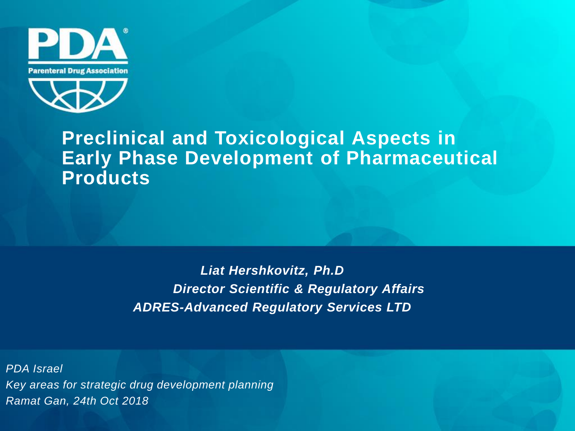



### **Preclinical and Toxicological Aspects in Early Phase Development of Pharmaceutical Products**

*Liat Hershkovitz, Ph.D Director Scientific & Regulatory Affairs ADRES-Advanced Regulatory Services LTD*

*PDA Israel Key areas for strategic drug development planning Ramat Gan, 24th Oct 2018*

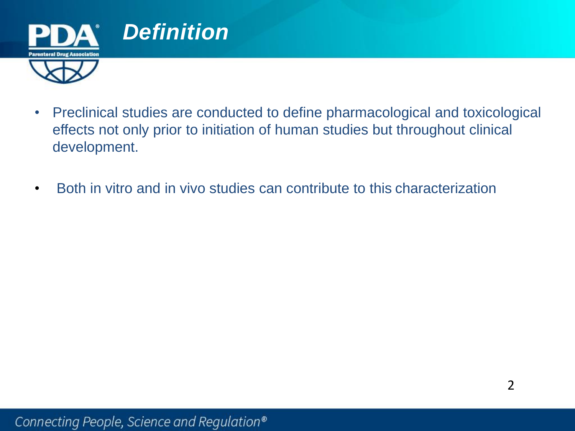

- Preclinical studies are conducted to define pharmacological and toxicological effects not only prior to initiation of human studies but throughout clinical development.
- Both in vitro and in vivo studies can contribute to this characterization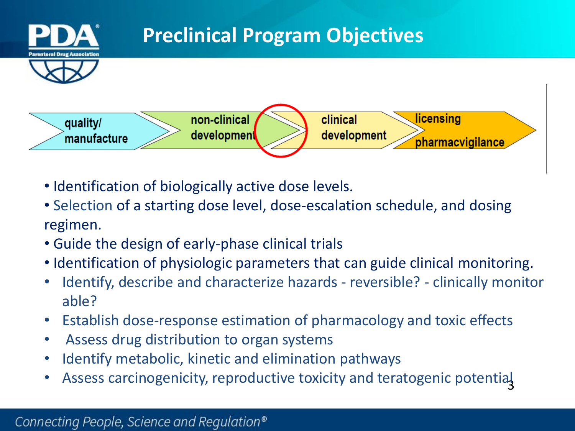

- Identification of biologically active dose levels.
- Selection of a starting dose level, dose-escalation schedule, and dosing regimen.
- Guide the design of early-phase clinical trials
- Identification of physiologic parameters that can guide clinical monitoring.
- Identify, describe and characterize hazards reversible? clinically monitor able?
- Establish dose-response estimation of pharmacology and toxic effects
- Assess drug distribution to organ systems
- Identify metabolic, kinetic and elimination pathways
- 3 • Assess carcinogenicity, reproductive toxicity and teratogenic potential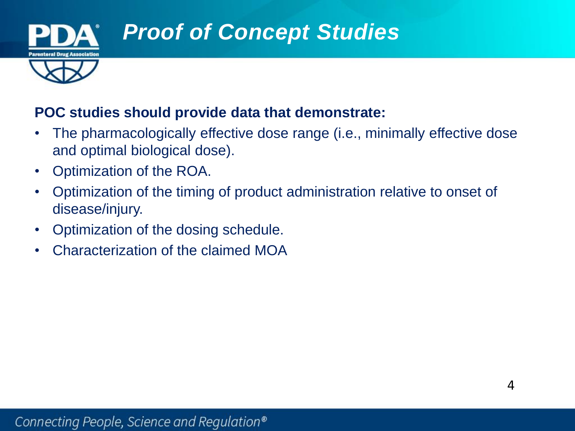

### *Proof of Concept Studies*

#### **POC studies should provide data that demonstrate:**

- The pharmacologically effective dose range (i.e., minimally effective dose and optimal biological dose).
- Optimization of the ROA.
- Optimization of the timing of product administration relative to onset of disease/injury.
- Optimization of the dosing schedule.
- Characterization of the claimed MOA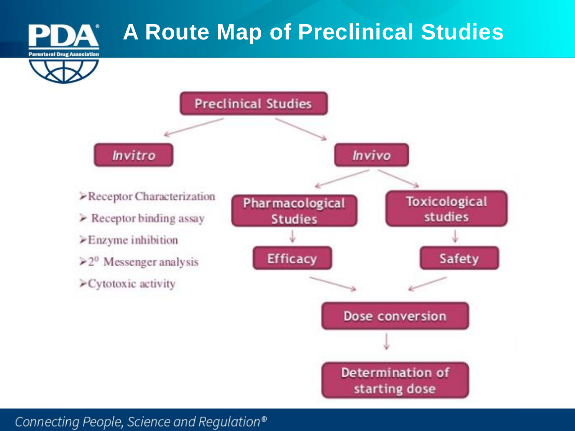

Determination of

starting dose

Connecting People, Science and Regulation®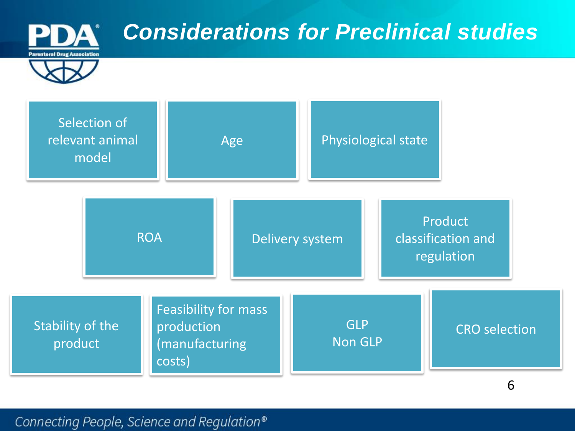

Connecting People, Science and Regulation®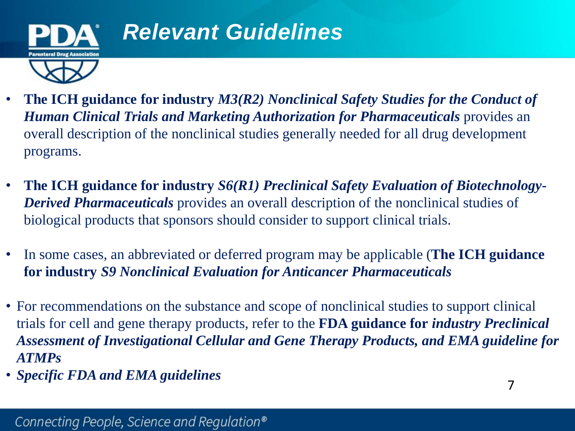

- **The ICH guidance for industry** *M3(R2) Nonclinical Safety Studies for the Conduct of*  **Human Clinical Trials and Marketing Authorization for Pharmaceuticals** provides an overall description of the nonclinical studies generally needed for all drug development programs.
- **The ICH guidance for industry** *S6(R1) Preclinical Safety Evaluation of Biotechnology-Derived Pharmaceuticals* provides an overall description of the nonclinical studies of biological products that sponsors should consider to support clinical trials.
- In some cases, an abbreviated or deferred program may be applicable (**The ICH guidance for industry** *S9 Nonclinical Evaluation for Anticancer Pharmaceuticals*
- For recommendations on the substance and scope of nonclinical studies to support clinical trials for cell and gene therapy products, refer to the **FDA guidance for** *industry Preclinical Assessment of Investigational Cellular and Gene Therapy Products, and EMA guideline for ATMPs*
- *Specific FDA and EMA guidelines*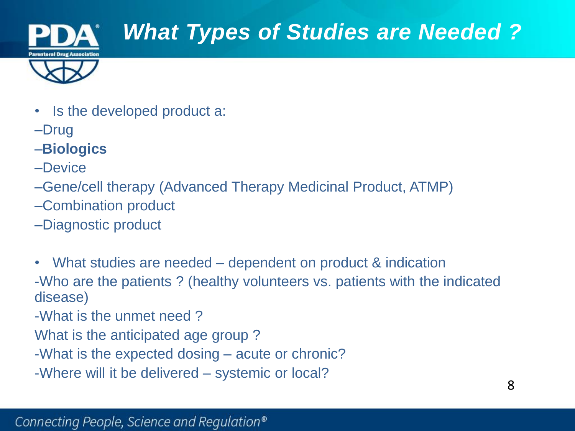

## *What Types of Studies are Needed ?*



- Is the developed product a:
- –Drug
- –**Biologics**
- –Device
- –Gene/cell therapy (Advanced Therapy Medicinal Product, ATMP)
- –Combination product
- –Diagnostic product
- What studies are needed dependent on product & indication -Who are the patients ? (healthy volunteers vs. patients with the indicated disease)
- -What is the unmet need ?
- What is the anticipated age group ?
- -What is the expected dosing acute or chronic?
- -Where will it be delivered systemic or local?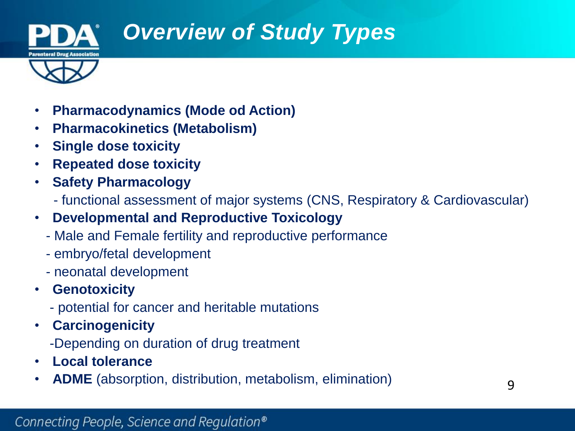

## *Overview of Study Types*



- **Pharmacodynamics (Mode od Action)**
- **Pharmacokinetics (Metabolism)**
- **Single dose toxicity**
- **Repeated dose toxicity**
- **Safety Pharmacology** 
	- functional assessment of major systems (CNS, Respiratory & Cardiovascular)
- **Developmental and Reproductive Toxicology** 
	- Male and Female fertility and reproductive performance
	- embryo/fetal development
	- neonatal development
- **Genotoxicity** 
	- potential for cancer and heritable mutations
- **Carcinogenicity** 
	- -Depending on duration of drug treatment
- **Local tolerance**
- **ADME** (absorption, distribution, metabolism, elimination)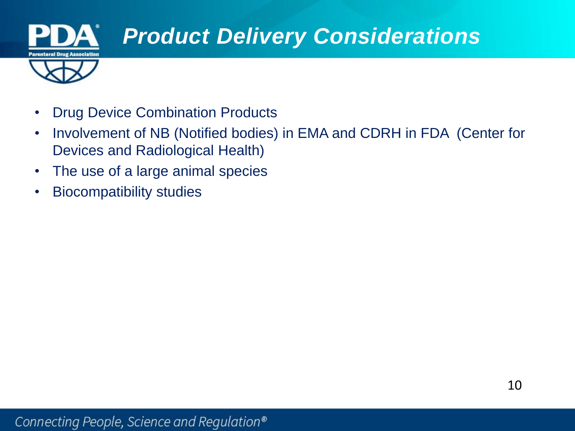

- Drug Device Combination Products
- Involvement of NB (Notified bodies) in EMA and CDRH in FDA (Center for Devices and Radiological Health)
- The use of a large animal species
- Biocompatibility studies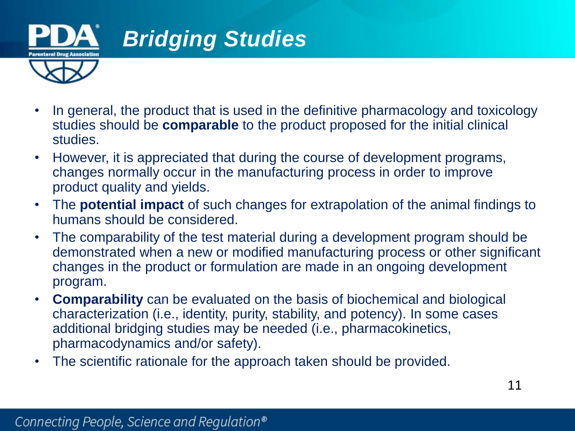

- In general, the product that is used in the definitive pharmacology and toxicology studies should be **comparable** to the product proposed for the initial clinical studies.
- However, it is appreciated that during the course of development programs, changes normally occur in the manufacturing process in order to improve product quality and yields.
- The **potential impact** of such changes for extrapolation of the animal findings to humans should be considered.
- The comparability of the test material during a development program should be demonstrated when a new or modified manufacturing process or other significant changes in the product or formulation are made in an ongoing development program.
- **Comparability** can be evaluated on the basis of biochemical and biological characterization (i.e., identity, purity, stability, and potency). In some cases additional bridging studies may be needed (i.e., pharmacokinetics, pharmacodynamics and/or safety).
- The scientific rationale for the approach taken should be provided.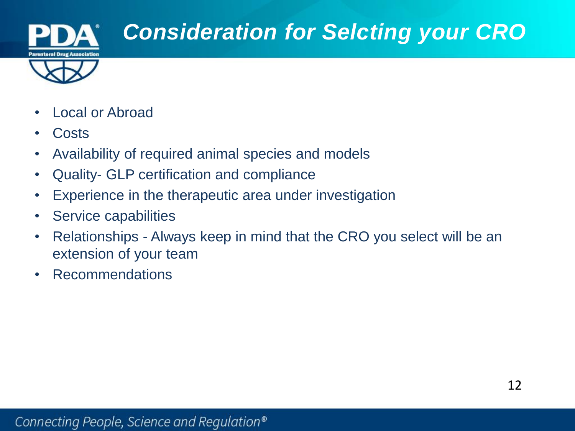

## *Consideration for Selcting your CRO*

- 
- Local or Abroad
- Costs
- Availability of required animal species and models
- Quality- GLP certification and compliance
- Experience in the therapeutic area under investigation
- Service capabilities
- Relationships Always keep in mind that the CRO you select will be an extension of your team
- Recommendations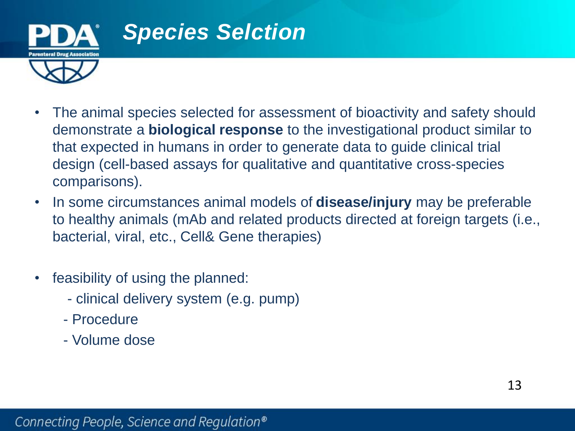

- The animal species selected for assessment of bioactivity and safety should demonstrate a **biological response** to the investigational product similar to that expected in humans in order to generate data to guide clinical trial design (cell-based assays for qualitative and quantitative cross-species comparisons).
- In some circumstances animal models of **disease/injury** may be preferable to healthy animals (mAb and related products directed at foreign targets (i.e., bacterial, viral, etc., Cell& Gene therapies)
- feasibility of using the planned:
	- clinical delivery system (e.g. pump)
	- Procedure
	- Volume dose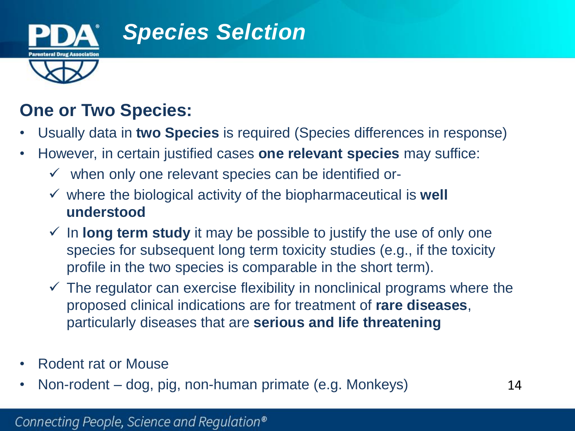

### *Species Selction*

### **One or Two Species:**

- Usually data in **two Species** is required (Species differences in response)
- However, in certain justified cases **one relevant species** may suffice:
	- $\checkmark$  when only one relevant species can be identified or-
	- $\checkmark$  where the biological activity of the biopharmaceutical is **well understood**
	- $\checkmark$  In **long term study** it may be possible to justify the use of only one species for subsequent long term toxicity studies (e.g., if the toxicity profile in the two species is comparable in the short term).
	- $\checkmark$  The regulator can exercise flexibility in nonclinical programs where the proposed clinical indications are for treatment of **rare diseases**, particularly diseases that are **serious and life threatening**
- Rodent rat or Mouse
- Non-rodent dog, pig, non-human primate (e.g. Monkeys)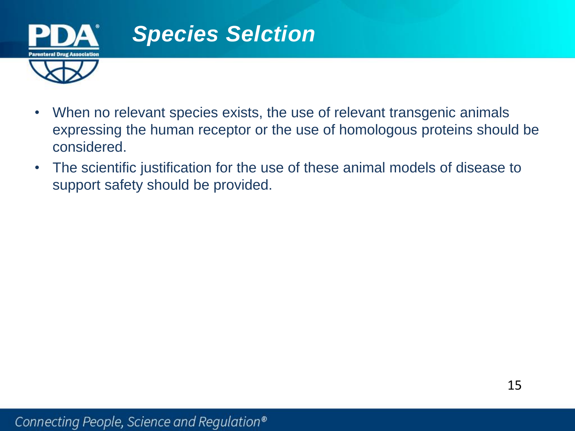

## *Species Selction*

- When no relevant species exists, the use of relevant transgenic animals expressing the human receptor or the use of homologous proteins should be considered.
- The scientific justification for the use of these animal models of disease to support safety should be provided.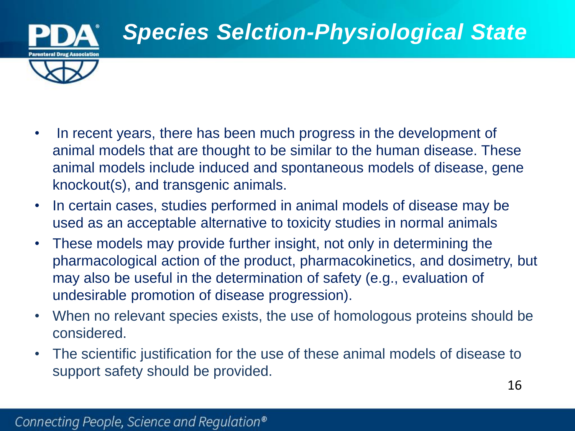

- In recent years, there has been much progress in the development of animal models that are thought to be similar to the human disease. These animal models include induced and spontaneous models of disease, gene knockout(s), and transgenic animals.
- In certain cases, studies performed in animal models of disease may be used as an acceptable alternative to toxicity studies in normal animals
- These models may provide further insight, not only in determining the pharmacological action of the product, pharmacokinetics, and dosimetry, but may also be useful in the determination of safety (e.g., evaluation of undesirable promotion of disease progression).
- When no relevant species exists, the use of homologous proteins should be considered.
- The scientific justification for the use of these animal models of disease to support safety should be provided.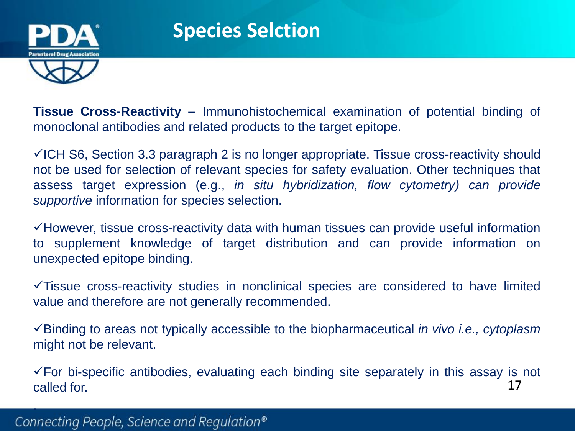

.

**Tissue Cross-Reactivity –** Immunohistochemical examination of potential binding of monoclonal antibodies and related products to the target epitope.

 $\checkmark$  ICH S6, Section 3.3 paragraph 2 is no longer appropriate. Tissue cross-reactivity should not be used for selection of relevant species for safety evaluation. Other techniques that assess target expression (e.g., *in situ hybridization, flow cytometry) can provide supportive* information for species selection.

 $\checkmark$  However, tissue cross-reactivity data with human tissues can provide useful information to supplement knowledge of target distribution and can provide information on unexpected epitope binding.

 $\sqrt{T}$  Tissue cross-reactivity studies in nonclinical species are considered to have limited value and therefore are not generally recommended.

Binding to areas not typically accessible to the biopharmaceutical *in vivo i.e., cytoplasm* might not be relevant.

17  $\checkmark$  For bi-specific antibodies, evaluating each binding site separately in this assay is not called for.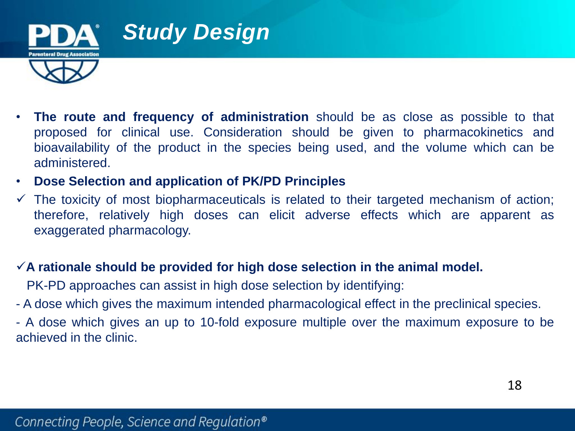

- **The route and frequency of administration** should be as close as possible to that proposed for clinical use. Consideration should be given to pharmacokinetics and bioavailability of the product in the species being used, and the volume which can be administered.
- **Dose Selection and application of PK/PD Principles**
- $\checkmark$  The toxicity of most biopharmaceuticals is related to their targeted mechanism of action; therefore, relatively high doses can elicit adverse effects which are apparent as exaggerated pharmacology.
- **A rationale should be provided for high dose selection in the animal model.**

PK-PD approaches can assist in high dose selection by identifying:

- A dose which gives the maximum intended pharmacological effect in the preclinical species.
- A dose which gives an up to 10-fold exposure multiple over the maximum exposure to be achieved in the clinic.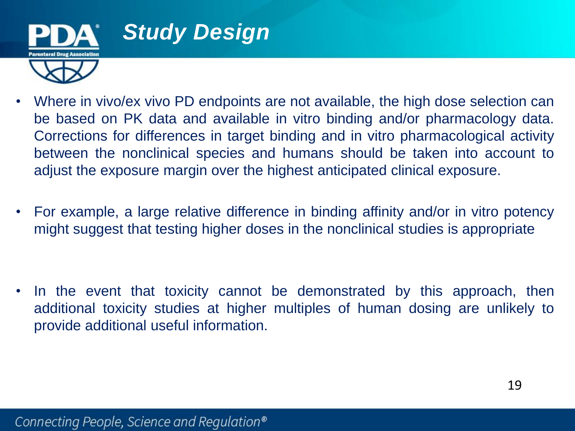

- Where in vivo/ex vivo PD endpoints are not available, the high dose selection can be based on PK data and available in vitro binding and/or pharmacology data. Corrections for differences in target binding and in vitro pharmacological activity between the nonclinical species and humans should be taken into account to adjust the exposure margin over the highest anticipated clinical exposure.
- For example, a large relative difference in binding affinity and/or in vitro potency might suggest that testing higher doses in the nonclinical studies is appropriate

• In the event that toxicity cannot be demonstrated by this approach, then additional toxicity studies at higher multiples of human dosing are unlikely to provide additional useful information.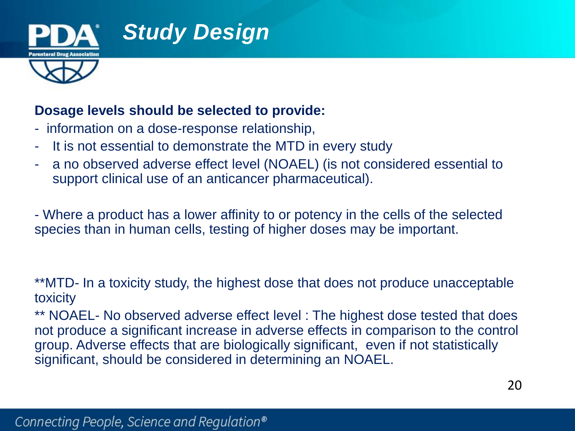

#### **Dosage levels should be selected to provide:**

- information on a dose-response relationship,
- It is not essential to demonstrate the MTD in every study
- a no observed adverse effect level (NOAEL) (is not considered essential to support clinical use of an anticancer pharmaceutical).

- Where a product has a lower affinity to or potency in the cells of the selected species than in human cells, testing of higher doses may be important.

\*\*MTD- In a toxicity study, the highest dose that does not produce unacceptable toxicity

\*\* NOAEL- No observed adverse effect level : The highest dose tested that does not produce a significant increase in adverse effects in comparison to the control group. Adverse effects that are biologically significant, even if not statistically significant, should be considered in determining an NOAEL.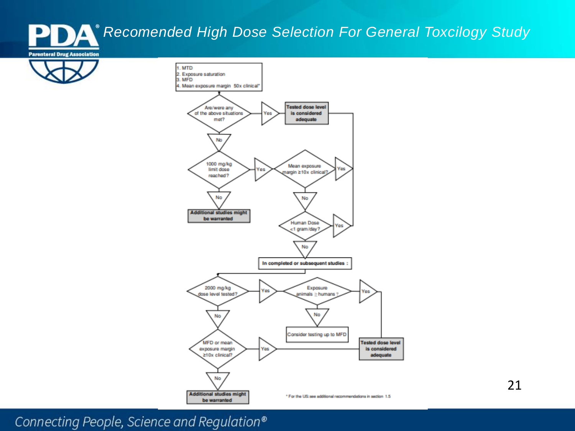#### *Recomended High Dose Selection For General Toxcilogy Study*ŊД





Connecting People, Science and Regulation®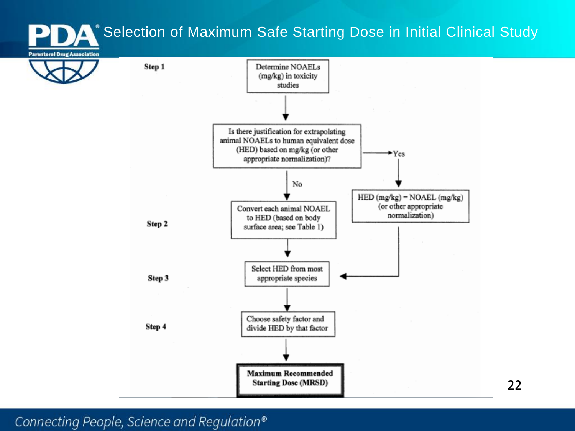### Selection of Maximum Safe Starting Dose in Initial Clinical Study



Connecting People, Science and Regulation®

22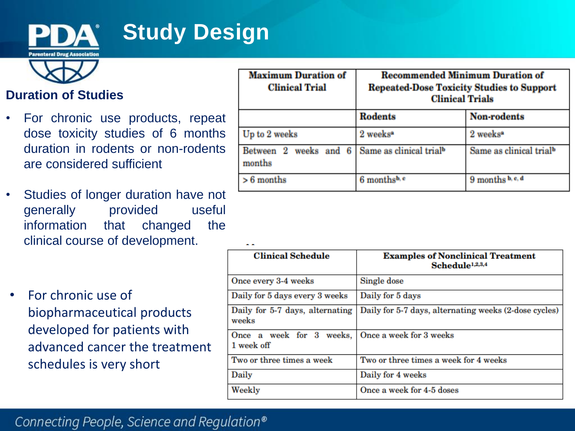

## **Study Design**



#### **Duration of Studies**

- For chronic use products, repeat dose toxicity studies of 6 months duration in rodents or non-rodents are considered sufficient
- Studies of longer duration have not generally provided useful information that changed the clinical course of development.
- For chronic use of biopharmaceutical products developed for patients with advanced cancer the treatment schedules is very short

| <b>Maximum Duration of</b><br><b>Clinical Trial</b> | <b>Recommended Minimum Duration of</b><br><b>Repeated-Dose Toxicity Studies to Support</b><br><b>Clinical Trials</b> |                                     |
|-----------------------------------------------------|----------------------------------------------------------------------------------------------------------------------|-------------------------------------|
|                                                     | <b>Rodents</b>                                                                                                       | <b>Non-rodents</b>                  |
| Up to 2 weeks                                       | 2 weeks <sup>*</sup>                                                                                                 | 2 weeks <sup>a</sup>                |
| Between 2 weeks<br>and 6<br>months                  | Same as clinical trial <sup>b</sup>                                                                                  | Same as clinical trial <sup>b</sup> |
| $> 6$ months                                        | 6 months <sup>b, c</sup>                                                                                             | 9 months b, c, d                    |

| <b>Clinical Schedule</b>                                       | <b>Examples of Nonclinical Treatment</b><br>Schedule <sup>1,2,3,4</sup> |
|----------------------------------------------------------------|-------------------------------------------------------------------------|
| Once every 3-4 weeks                                           | Single dose                                                             |
| Daily for 5 days every 3 weeks                                 | Daily for 5 days                                                        |
| Daily for 5-7 days, alternating<br>weeks                       | Daily for 5-7 days, alternating weeks (2-dose cycles)                   |
| Once a week for 3 weeks, Once a week for 3 weeks<br>1 week off |                                                                         |
| Two or three times a week                                      | Two or three times a week for 4 weeks                                   |
| Daily                                                          | Daily for 4 weeks                                                       |
| Weekly                                                         | Once a week for 4-5 doses                                               |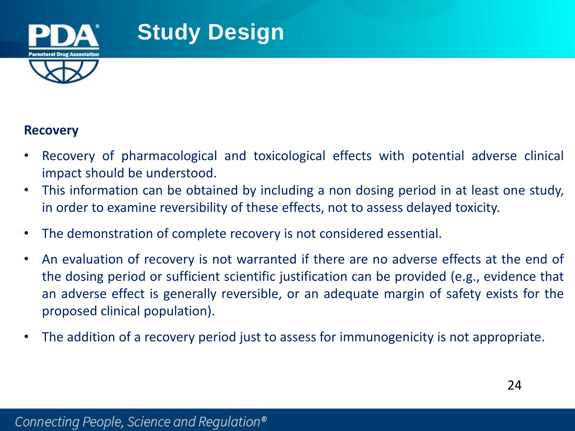

### **Study Design**

#### **Recovery**

- Recovery of pharmacological and toxicological effects with potential adverse clinical impact should be understood.
- This information can be obtained by including a non dosing period in at least one study, in order to examine reversibility of these effects, not to assess delayed toxicity.
- The demonstration of complete recovery is not considered essential.
- An evaluation of recovery is not warranted if there are no adverse effects at the end of the dosing period or sufficient scientific justification can be provided (e.g., evidence that an adverse effect is generally reversible, or an adequate margin of safety exists for the proposed clinical population).
- The addition of a recovery period just to assess for immunogenicity is not appropriate.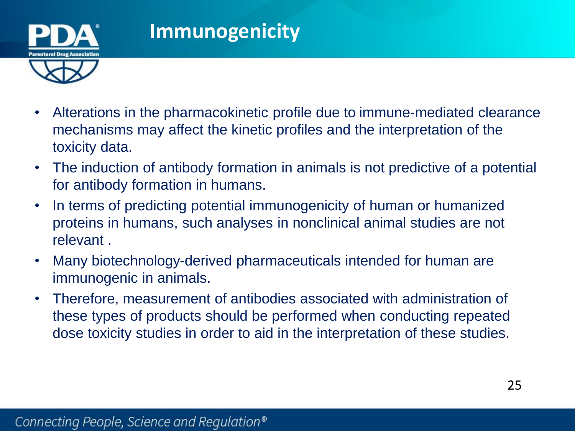

- Alterations in the pharmacokinetic profile due to immune-mediated clearance mechanisms may affect the kinetic profiles and the interpretation of the toxicity data.
- The induction of antibody formation in animals is not predictive of a potential for antibody formation in humans.
- In terms of predicting potential immunogenicity of human or humanized proteins in humans, such analyses in nonclinical animal studies are not relevant .
- Many biotechnology-derived pharmaceuticals intended for human are immunogenic in animals.
- Therefore, measurement of antibodies associated with administration of these types of products should be performed when conducting repeated dose toxicity studies in order to aid in the interpretation of these studies.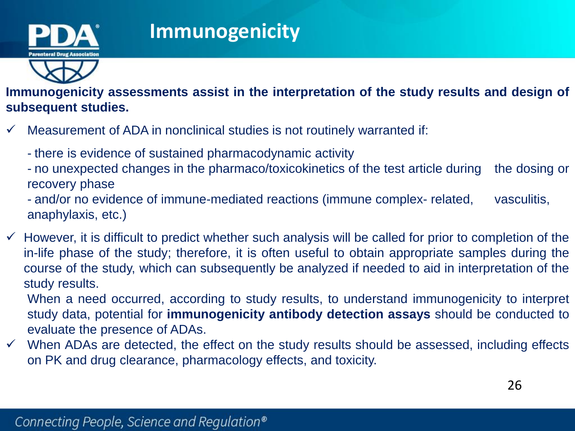

**Immunogenicity assessments assist in the interpretation of the study results and design of subsequent studies.**

- $\checkmark$  Measurement of ADA in nonclinical studies is not routinely warranted if:
	- there is evidence of sustained pharmacodynamic activity
	- no unexpected changes in the pharmaco/toxicokinetics of the test article during the dosing or recovery phase
	- and/or no evidence of immune-mediated reactions (immune complex- related, vasculitis, anaphylaxis, etc.)
- $\checkmark$  However, it is difficult to predict whether such analysis will be called for prior to completion of the in-life phase of the study; therefore, it is often useful to obtain appropriate samples during the course of the study, which can subsequently be analyzed if needed to aid in interpretation of the study results.

When a need occurred, according to study results, to understand immunogenicity to interpret study data, potential for **immunogenicity antibody detection assays** should be conducted to evaluate the presence of ADAs.

 $\checkmark$  When ADAs are detected, the effect on the study results should be assessed, including effects on PK and drug clearance, pharmacology effects, and toxicity.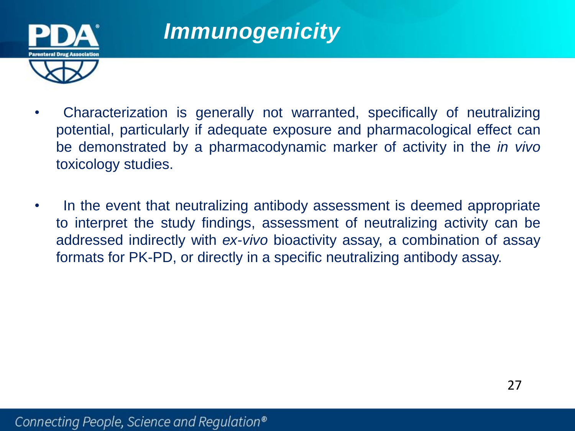

### *Immunogenicity*

- Characterization is generally not warranted, specifically of neutralizing potential, particularly if adequate exposure and pharmacological effect can be demonstrated by a pharmacodynamic marker of activity in the *in vivo* toxicology studies.
- In the event that neutralizing antibody assessment is deemed appropriate to interpret the study findings, assessment of neutralizing activity can be addressed indirectly with *ex-vivo* bioactivity assay, a combination of assay formats for PK-PD, or directly in a specific neutralizing antibody assay.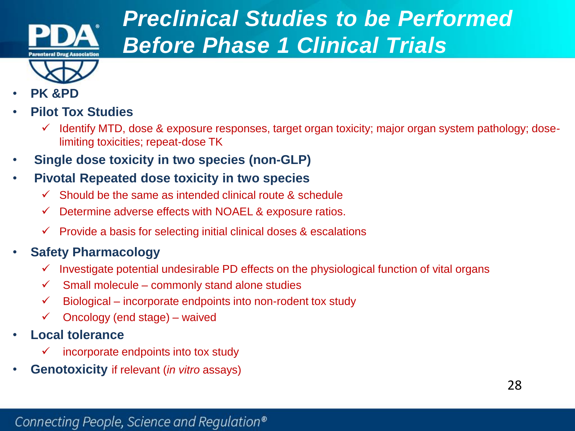

## *Preclinical Studies to be Performed Before Phase 1 Clinical Trials*

- **PK &PD**
- **Pilot Tox Studies**
	- $\checkmark$  Identify MTD, dose & exposure responses, target organ toxicity; major organ system pathology; doselimiting toxicities; repeat-dose TK
- **Single dose toxicity in two species (non-GLP)**
- **Pivotal Repeated dose toxicity in two species** 
	- $\checkmark$  Should be the same as intended clinical route & schedule
	- $\checkmark$  Determine adverse effects with NOAEL & exposure ratios.
	- $\checkmark$  Provide a basis for selecting initial clinical doses & escalations
- **Safety Pharmacology** 
	- $\checkmark$  Investigate potential undesirable PD effects on the physiological function of vital organs
	- $\checkmark$  Small molecule commonly stand alone studies
	- $\checkmark$  Biological incorporate endpoints into non-rodent tox study
	- $\checkmark$  Oncology (end stage) waived
- **Local tolerance** 
	- incorporate endpoints into tox study
- **Genotoxicity** if relevant (*in vitro* assays)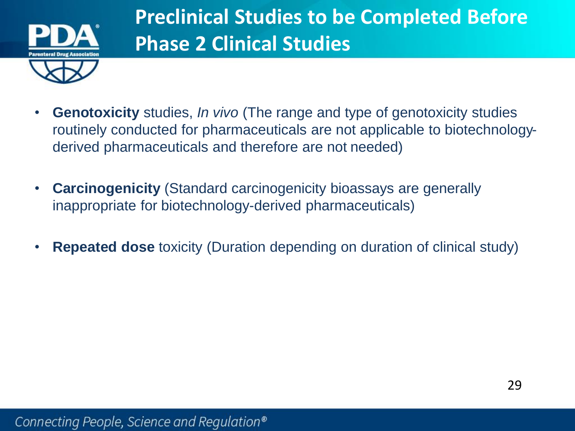

- **Genotoxicity** studies, *In vivo* (The range and type of genotoxicity studies routinely conducted for pharmaceuticals are not applicable to biotechnologyderived pharmaceuticals and therefore are not needed)
- **Carcinogenicity** (Standard carcinogenicity bioassays are generally inappropriate for biotechnology-derived pharmaceuticals)
- **Repeated dose** toxicity (Duration depending on duration of clinical study)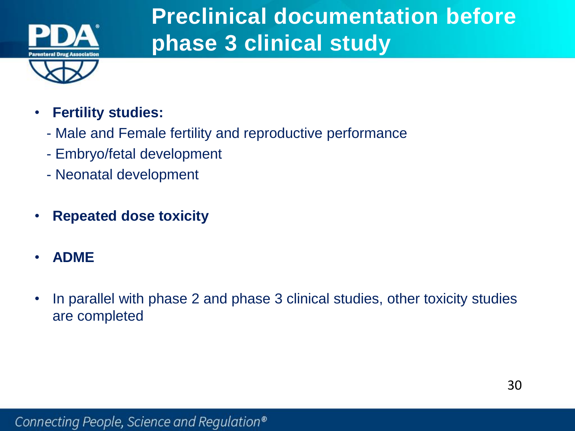

## **Preclinical documentation before phase 3 clinical study**

- **Fertility studies:**
	- Male and Female fertility and reproductive performance
	- Embryo/fetal development
	- Neonatal development
- **Repeated dose toxicity**
- **ADME**
- In parallel with phase 2 and phase 3 clinical studies, other toxicity studies are completed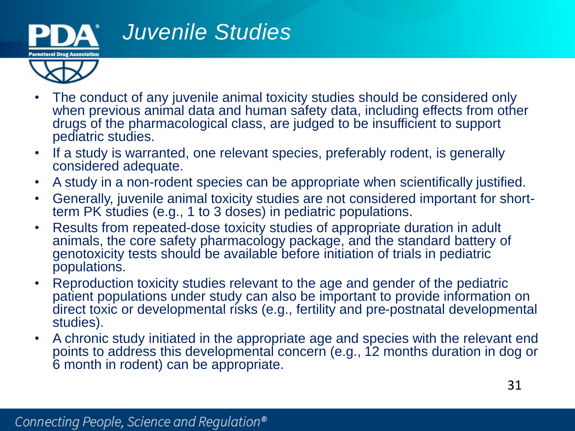

### *Juvenile Studies*

- 
- The conduct of any juvenile animal toxicity studies should be considered only when previous animal data and human safety data, including effects from other drugs of the pharmacological class, are judged to be insufficient to support pediatric studies.
- If a study is warranted, one relevant species, preferably rodent, is generally considered adequate.
- A study in a non-rodent species can be appropriate when scientifically justified.
- Generally, juvenile animal toxicity studies are not considered important for shortterm PK studies (e.g., 1 to 3 doses) in pediatric populations.
- Results from repeated-dose toxicity studies of appropriate duration in adult animals, the core safety pharmacology package, and the standard battery of genotoxicity tests should be available before initiation of trials in pediatric populations.
- Reproduction toxicity studies relevant to the age and gender of the pediatric patient populations under study can also be important to provide information on direct toxic or developmental risks (e.g., fertility and pre-postnatal developmental studies).
- A chronic study initiated in the appropriate age and species with the relevant end points to address this developmental concern (e.g., 12 months duration in dog or 6 month in rodent) can be appropriate.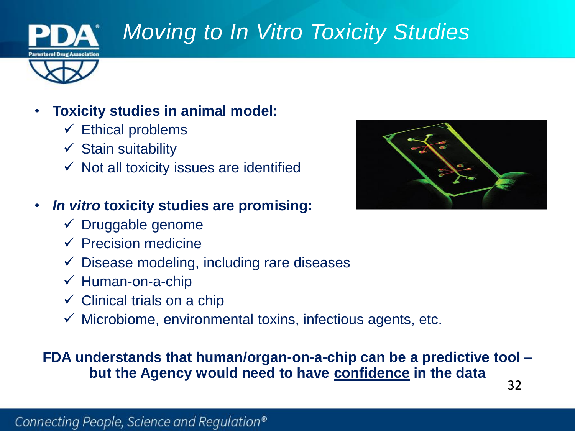

## *Moving to In Vitro Toxicity Studies*



### • **Toxicity studies in animal model:**

- $\checkmark$  Ethical problems
- $\checkmark$  Stain suitability
- $\checkmark$  Not all toxicity issues are identified

### • *In vitro* **toxicity studies are promising:**

- $\checkmark$  Druggable genome
- $\checkmark$  Precision medicine
- $\checkmark$  Disease modeling, including rare diseases
- $\checkmark$  Human-on-a-chip
- $\checkmark$  Clinical trials on a chip
- $\checkmark$  Microbiome, environmental toxins, infectious agents, etc.

#### 32 **FDA understands that human/organ-on-a-chip can be a predictive tool – but the Agency would need to have confidence in the data**

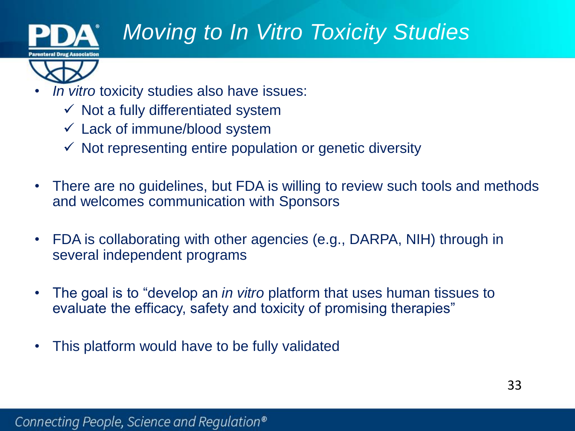

## *Moving to In Vitro Toxicity Studies*



- *In vitro* toxicity studies also have issues:
	- $\checkmark$  Not a fully differentiated system
	- $\checkmark$  Lack of immune/blood system
	- $\checkmark$  Not representing entire population or genetic diversity
- There are no guidelines, but FDA is willing to review such tools and methods and welcomes communication with Sponsors
- FDA is collaborating with other agencies (e.g., DARPA, NIH) through in several independent programs
- The goal is to "develop an *in vitro* platform that uses human tissues to evaluate the efficacy, safety and toxicity of promising therapies"
- This platform would have to be fully validated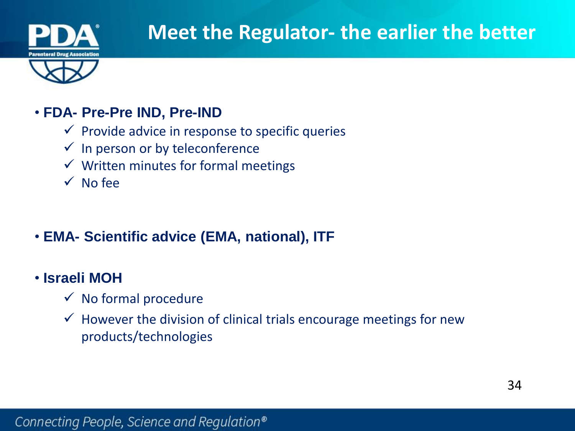

### • **FDA- Pre-Pre IND, Pre-IND**

- $\checkmark$  Provide advice in response to specific queries
- $\checkmark$  In person or by teleconference
- $\checkmark$  Written minutes for formal meetings
- $\sqrt{\phantom{a}}$  No fee
- **EMA- Scientific advice (EMA, national), ITF**
- **Israeli MOH**
	- $\checkmark$  No formal procedure
	- $\checkmark$  However the division of clinical trials encourage meetings for new products/technologies